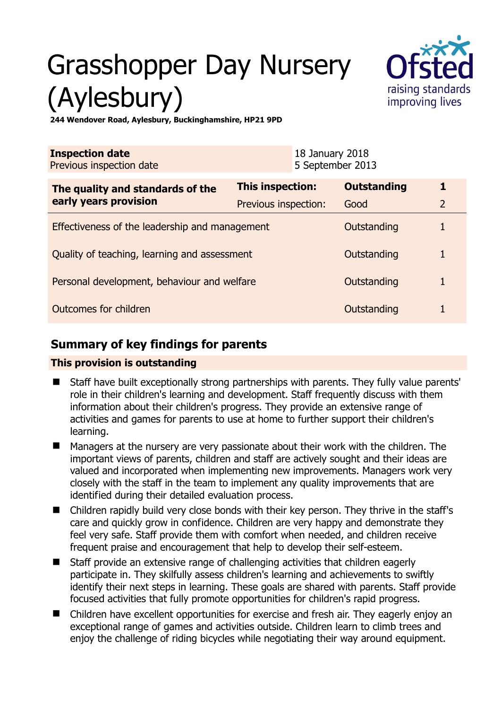# Grasshopper Day Nursery (Aylesbury)



**244 Wendover Road, Aylesbury, Buckinghamshire, HP21 9PD** 

| <b>Inspection date</b><br>Previous inspection date        |                      | 18 January 2018<br>5 September 2013 |                    |                |
|-----------------------------------------------------------|----------------------|-------------------------------------|--------------------|----------------|
| The quality and standards of the<br>early years provision | This inspection:     |                                     | <b>Outstanding</b> | 1              |
|                                                           | Previous inspection: |                                     | Good               | $\overline{2}$ |
| Effectiveness of the leadership and management            |                      |                                     | Outstanding        |                |
| Quality of teaching, learning and assessment              |                      |                                     | Outstanding        |                |
| Personal development, behaviour and welfare               |                      |                                     | Outstanding        | 1              |
| Outcomes for children                                     |                      |                                     | Outstanding        |                |

## **Summary of key findings for parents**

## **This provision is outstanding**

- Staff have built exceptionally strong partnerships with parents. They fully value parents' role in their children's learning and development. Staff frequently discuss with them information about their children's progress. They provide an extensive range of activities and games for parents to use at home to further support their children's learning.
- Managers at the nursery are very passionate about their work with the children. The important views of parents, children and staff are actively sought and their ideas are valued and incorporated when implementing new improvements. Managers work very closely with the staff in the team to implement any quality improvements that are identified during their detailed evaluation process.
- Children rapidly build very close bonds with their key person. They thrive in the staff's care and quickly grow in confidence. Children are very happy and demonstrate they feel very safe. Staff provide them with comfort when needed, and children receive frequent praise and encouragement that help to develop their self-esteem.
- Staff provide an extensive range of challenging activities that children eagerly participate in. They skilfully assess children's learning and achievements to swiftly identify their next steps in learning. These goals are shared with parents. Staff provide focused activities that fully promote opportunities for children's rapid progress.
- Children have excellent opportunities for exercise and fresh air. They eagerly enjoy an exceptional range of games and activities outside. Children learn to climb trees and enjoy the challenge of riding bicycles while negotiating their way around equipment.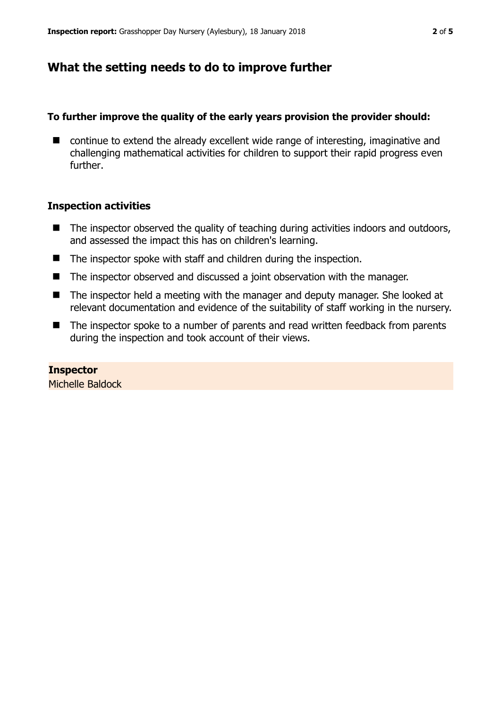# **What the setting needs to do to improve further**

## **To further improve the quality of the early years provision the provider should:**

■ continue to extend the already excellent wide range of interesting, imaginative and challenging mathematical activities for children to support their rapid progress even further.

## **Inspection activities**

- $\blacksquare$  The inspector observed the quality of teaching during activities indoors and outdoors, and assessed the impact this has on children's learning.
- The inspector spoke with staff and children during the inspection.
- The inspector observed and discussed a joint observation with the manager.
- The inspector held a meeting with the manager and deputy manager. She looked at relevant documentation and evidence of the suitability of staff working in the nursery.
- The inspector spoke to a number of parents and read written feedback from parents during the inspection and took account of their views.

## **Inspector**

Michelle Baldock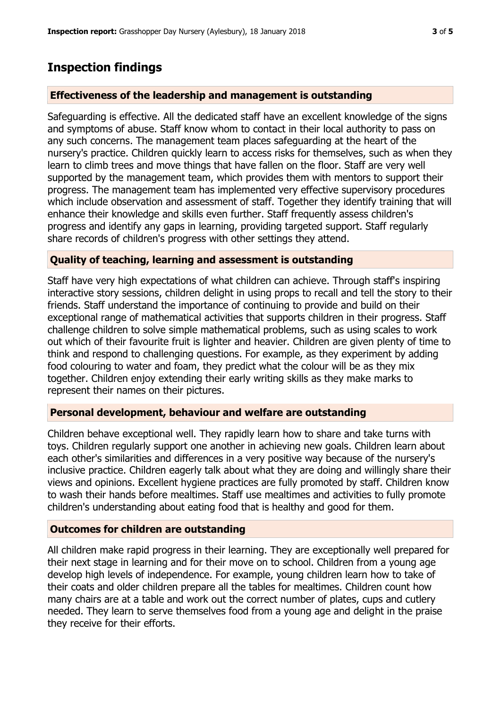## **Inspection findings**

## **Effectiveness of the leadership and management is outstanding**

Safeguarding is effective. All the dedicated staff have an excellent knowledge of the signs and symptoms of abuse. Staff know whom to contact in their local authority to pass on any such concerns. The management team places safeguarding at the heart of the nursery's practice. Children quickly learn to access risks for themselves, such as when they learn to climb trees and move things that have fallen on the floor. Staff are very well supported by the management team, which provides them with mentors to support their progress. The management team has implemented very effective supervisory procedures which include observation and assessment of staff. Together they identify training that will enhance their knowledge and skills even further. Staff frequently assess children's progress and identify any gaps in learning, providing targeted support. Staff regularly share records of children's progress with other settings they attend.

#### **Quality of teaching, learning and assessment is outstanding**

Staff have very high expectations of what children can achieve. Through staff's inspiring interactive story sessions, children delight in using props to recall and tell the story to their friends. Staff understand the importance of continuing to provide and build on their exceptional range of mathematical activities that supports children in their progress. Staff challenge children to solve simple mathematical problems, such as using scales to work out which of their favourite fruit is lighter and heavier. Children are given plenty of time to think and respond to challenging questions. For example, as they experiment by adding food colouring to water and foam, they predict what the colour will be as they mix together. Children enjoy extending their early writing skills as they make marks to represent their names on their pictures.

## **Personal development, behaviour and welfare are outstanding**

Children behave exceptional well. They rapidly learn how to share and take turns with toys. Children regularly support one another in achieving new goals. Children learn about each other's similarities and differences in a very positive way because of the nursery's inclusive practice. Children eagerly talk about what they are doing and willingly share their views and opinions. Excellent hygiene practices are fully promoted by staff. Children know to wash their hands before mealtimes. Staff use mealtimes and activities to fully promote children's understanding about eating food that is healthy and good for them.

#### **Outcomes for children are outstanding**

All children make rapid progress in their learning. They are exceptionally well prepared for their next stage in learning and for their move on to school. Children from a young age develop high levels of independence. For example, young children learn how to take of their coats and older children prepare all the tables for mealtimes. Children count how many chairs are at a table and work out the correct number of plates, cups and cutlery needed. They learn to serve themselves food from a young age and delight in the praise they receive for their efforts.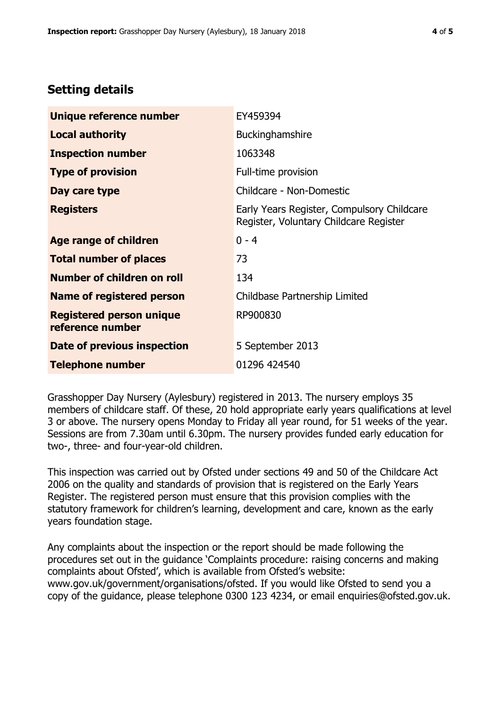# **Setting details**

| Unique reference number                             | EY459394                                                                             |  |
|-----------------------------------------------------|--------------------------------------------------------------------------------------|--|
| <b>Local authority</b>                              | <b>Buckinghamshire</b>                                                               |  |
| <b>Inspection number</b>                            | 1063348                                                                              |  |
| <b>Type of provision</b>                            | Full-time provision                                                                  |  |
| Day care type                                       | Childcare - Non-Domestic                                                             |  |
| <b>Registers</b>                                    | Early Years Register, Compulsory Childcare<br>Register, Voluntary Childcare Register |  |
| Age range of children                               | $0 - 4$                                                                              |  |
| <b>Total number of places</b>                       | 73                                                                                   |  |
| Number of children on roll                          | 134                                                                                  |  |
| Name of registered person                           | Childbase Partnership Limited                                                        |  |
| <b>Registered person unique</b><br>reference number | RP900830                                                                             |  |
| Date of previous inspection                         | 5 September 2013                                                                     |  |
| <b>Telephone number</b>                             | 01296 424540                                                                         |  |

Grasshopper Day Nursery (Aylesbury) registered in 2013. The nursery employs 35 members of childcare staff. Of these, 20 hold appropriate early years qualifications at level 3 or above. The nursery opens Monday to Friday all year round, for 51 weeks of the year. Sessions are from 7.30am until 6.30pm. The nursery provides funded early education for two-, three- and four-year-old children.

This inspection was carried out by Ofsted under sections 49 and 50 of the Childcare Act 2006 on the quality and standards of provision that is registered on the Early Years Register. The registered person must ensure that this provision complies with the statutory framework for children's learning, development and care, known as the early years foundation stage.

Any complaints about the inspection or the report should be made following the procedures set out in the guidance 'Complaints procedure: raising concerns and making complaints about Ofsted', which is available from Ofsted's website: www.gov.uk/government/organisations/ofsted. If you would like Ofsted to send you a copy of the guidance, please telephone 0300 123 4234, or email enquiries@ofsted.gov.uk.